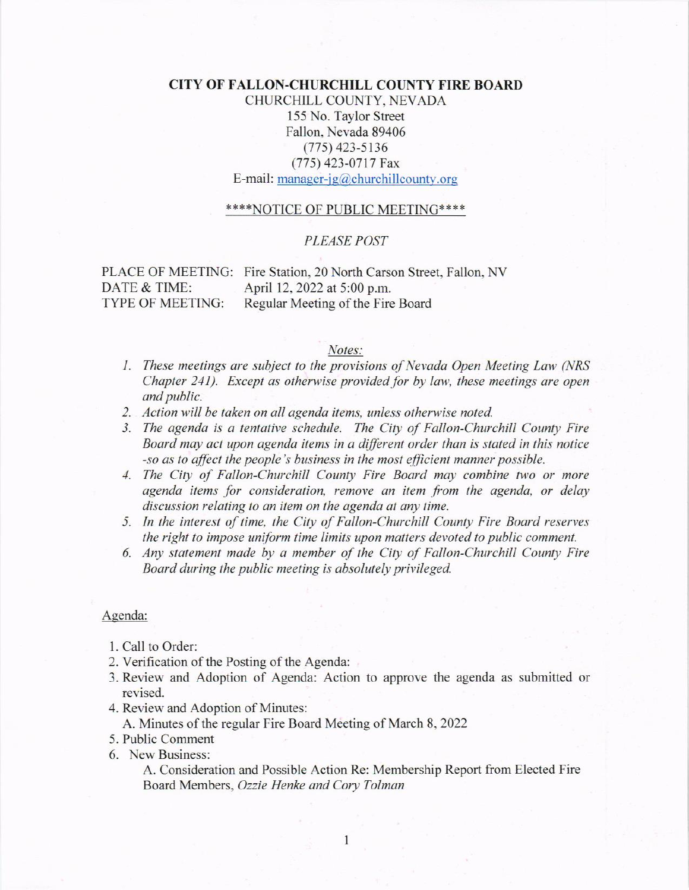## **CITY OF FALLON-CHURCHILL COUNTY FIRE BOARD**

CHURCHILL COUNTY, NEVADA 155 No. Taylor Street Fallon, Nevada 89406  $(775)$  423-5136 (775) 423-0717 Fax E-mail: manager-jg@churchillcounty.org

### \*\*\*\*NOTICE OF PUBLIC MEETING\*\*\*\*

### **PLEASE POST**

DATE & TIME: TYPE OF MEETING:

PLACE OF MEETING: Fire Station, 20 North Carson Street, Fallon, NV April 12, 2022 at 5:00 p.m. Regular Meeting of the Fire Board

#### Notes:

- 1. These meetings are subject to the provisions of Nevada Open Meeting Law (NRS Chapter 241). Except as otherwise provided for by law, these meetings are open and public.
- 2. Action will be taken on all agenda items, unless otherwise noted.
- 3. The agenda is a tentative schedule. The City of Fallon-Churchill County Fire Board may act upon agenda items in a different order than is stated in this notice -so as to affect the people's business in the most efficient manner possible.
- 4. The City of Fallon-Churchill County Fire Board may combine two or more agenda items for consideration, remove an item from the agenda, or delay discussion relating to an item on the agenda at any time.
- 5. In the interest of time, the City of Fallon-Churchill County Fire Board reserves the right to impose uniform time limits upon matters devoted to public comment.
- 6. Any statement made by a member of the City of Fallon-Churchill County Fire Board during the public meeting is absolutely privileged.

### Agenda:

- 1. Call to Order:
- 2. Verification of the Posting of the Agenda:
- 3. Review and Adoption of Agenda: Action to approve the agenda as submitted or revised.
- 4. Review and Adoption of Minutes:
	- A. Minutes of the regular Fire Board Meeting of March 8, 2022
- 5. Public Comment
- 6. New Business:

A. Consideration and Possible Action Re: Membership Report from Elected Fire Board Members, Ozzie Henke and Cory Tolman

1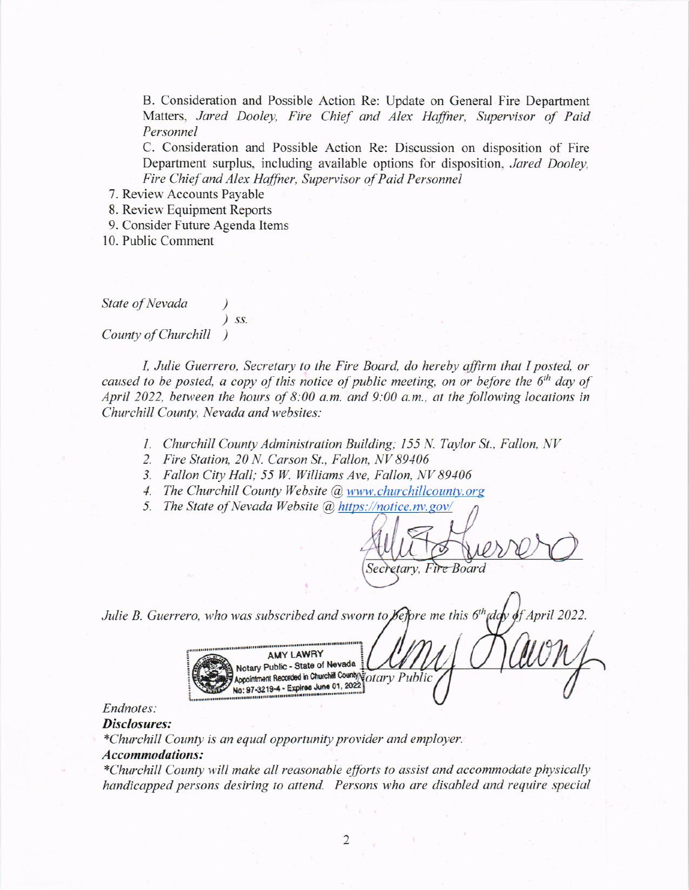B. Consideration and Possible Action Re: Update on General Fire Department Matters, Jared Dooley, Fire Chief and Alex Haffner, Supervisor of Paid Personnel

C. Consideration and Possible Action Re: Discussion on disposition of Fire Department surplus, including available options for disposition, Jared Dooley, Fire Chief and Alex Haffner, Supervisor of Paid Personnel

- 7. Review Accounts Payable
- 8. Review Equipment Reports
- 9. Consider Future Agenda ltems

10. Public Comment

State of Nevada

) ss.

County of Churchill

I, Julie Guerrero, Secretary to the Fire Board, do hereby affirm that I posted, or caused to be posted, a copy of this notice of public meeting, on or before the  $6<sup>th</sup>$  day of April 2022, between the hours of 8:00 a.m. and 9:00 a.m.. at the folloving locations in Churchill County, Nevada and websites:

- 1. Churchill County Administration Building; 155 N. Taylor St., Fallon, NV
- 2. Fire Station, 20 N. Carson St., Fallon. NV 89106
- 3. Fallon City Hall; 55 W. Williams Ave, Fallon, NV 89406
- 4. The Churchill County Website @ www.churchillcounty.org
- 5. The State of Nevada Website @ https://notice.nv.gov/

Secretary, Fire Board

Julie B. Guerrero, who was subscribed and sworn to **Kefore** me this  $6<sup>th</sup>$ ddy of April 2022.

Fo, Who was subscribed and sworn to provide a subscribed and sworn to provide a May LAWRY<br>AMY LAWRY<br>Appointment Recorded in Churchill Country of *ary*<br>No: 97-3219-4 - Expires June 01, 2022

# Endnotes:

### Disclosures:

\*Churchill County is an equal opportunity provider and employer.

## Accommodations:

\*Churchill County will make all reasonable efforts to assist and accommodate physically handicapped persons desiring to attend. Persons who are disabled and require special